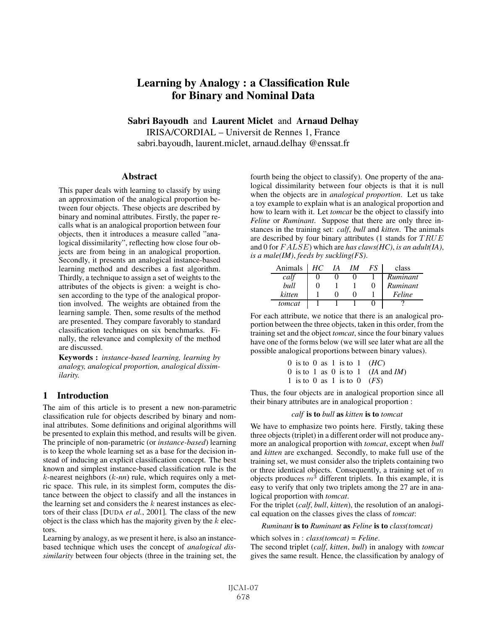# Learning by Analogy : a Classification Rule for Binary and Nominal Data

Sabri Bayoudh and Laurent Miclet and Arnaud Delhay IRISA/CORDIAL – Universit de Rennes 1, France sabri.bayoudh, laurent.miclet, arnaud.delhay @enssat.fr

## **Abstract**

This paper deals with learning to classify by using an approximation of the analogical proportion between four objects. These objects are described by binary and nominal attributes. Firstly, the paper recalls what is an analogical proportion between four objects, then it introduces a measure called "analogical dissimilarity", reflecting how close four objects are from being in an analogical proportion. Secondly, it presents an analogical instance-based learning method and describes a fast algorithm. Thirdly, a technique to assign a set of weights to the attributes of the objects is given: a weight is chosen according to the type of the analogical proportion involved. The weights are obtained from the learning sample. Then, some results of the method are presented. They compare favorably to standard classification techniques on six benchmarks. Finally, the relevance and complexity of the method are discussed.

Keywords : *instance-based learning, learning by analogy, analogical proportion, analogical dissimilarity.*

# 1 Introduction

The aim of this article is to present a new non-parametric classification rule for objects described by binary and nominal attributes. Some definitions and original algorithms will be presented to explain this method, and results will be given. The principle of non-parametric (or *instance-based*) learning is to keep the whole learning set as a base for the decision instead of inducing an explicit classification concept. The best known and simplest instance-based classification rule is the k-nearest neighbors (k*-nn*) rule, which requires only a metric space. This rule, in its simplest form, computes the distance between the object to classify and all the instances in the learning set and considers the  $k$  nearest instances as electors of their class [DUDA *et al.*, 2001]. The class of the new object is the class which has the majority given by the  $k$  electors.

Learning by analogy, as we present it here, is also an instancebased technique which uses the concept of *analogical dissimilarity* between four objects (three in the training set, the fourth being the object to classify). One property of the analogical dissimilarity between four objects is that it is null when the objects are in *analogical proportion*. Let us take a toy example to explain what is an analogical proportion and how to learn with it. Let *tomcat* be the object to classify into *Feline* or *Ruminant*. Suppose that there are only three instances in the training set: *calf*, *bull* and *kitten*. The animals are described by four binary attributes (1 stands for  $TRUE$ and 0 for F ALSE) which are *has claws(HC)*, *is an adult(IA)*, *is a male(IM)*, *feeds by suckling(FS)*.

| Animals | HC | IA | IΜ | ES | class    |
|---------|----|----|----|----|----------|
| calf    |    |    |    |    | Ruminant |
| bull    |    |    |    | 0  | Ruminant |
| kitten  |    |    |    |    | Feline   |
| tomcat  |    |    |    |    |          |

For each attribute, we notice that there is an analogical proportion between the three objects, taken in this order, from the training set and the object *tomcat*, since the four binary values have one of the forms below (we will see later what are all the possible analogical proportions between binary values).

> 0 is to 0 as 1 is to 1  $(HC)$ 0 is to 1 as 0 is to 1 (*IA* and *IM*) 1 is to 0 as 1 is to 0 (*FS*)

Thus, the four objects are in analogical proportion since all their binary attributes are in analogical proportion :

#### *calf* is to *bull* as *kitten* is to *tomcat*

We have to emphasize two points here. Firstly, taking these three objects (triplet) in a different order will not produce anymore an analogical proportion with *tomcat*, except when *bull* and *kitten* are exchanged. Secondly, to make full use of the training set, we must consider also the triplets containing two or three identical objects. Consequently, a training set of  $m$ objects produces  $m<sup>3</sup>$  different triplets. In this example, it is easy to verify that only two triplets among the 27 are in analogical proportion with *tomcat*.

For the triplet (*calf*, *bull*, *kitten*), the resolution of an analogical equation on the classes gives the class of *tomcat*:

#### *Ruminant* is to *Ruminant* as *Feline* is to *class(tomcat)*

which solves in : *class(tomcat) = Feline*.

The second triplet (*calf*, *kitten*, *bull*) in analogy with *tomcat* gives the same result. Hence, the classification by analogy of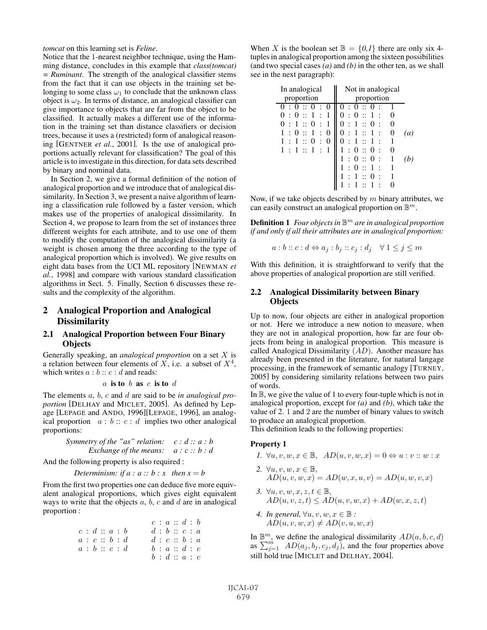*tomcat* on this learning set is *Feline*.

Notice that the 1-nearest neighbor technique, using the Hamming distance, concludes in this example that *class(tomcat) = Ruminant*. The strength of the analogical classifier stems from the fact that it can use objects in the training set belonging to some class  $\omega_1$  to conclude that the unknown class object is  $\omega_2$ . In terms of distance, an analogical classifier can give importance to objects that are far from the object to be classified. It actually makes a different use of the information in the training set than distance classifiers or decision trees, because it uses a (restricted) form of analogical reasoning [GENTNER *et al.*, 2001]. Is the use of analogical proportions actually relevant for classification? The goal of this article is to investigate in this direction, for data sets described by binary and nominal data.

In Section 2, we give a formal definition of the notion of analogical proportion and we introduce that of analogical dissimilarity. In Section 3, we present a naive algorithm of learning a classification rule followed by a faster version, which makes use of the properties of analogical dissimilarity. In Section 4, we propose to learn from the set of instances three different weights for each attribute, and to use one of them to modify the computation of the analogical dissimilarity (a weight is chosen among the three according to the type of analogical proportion which is involved). We give results on eight data bases from the UCI ML repository [NEWMAN *et al.*, 1998] and compare with various standard classification algorithms in Sect. 5. Finally, Section 6 discusses these results and the complexity of the algorithm.

## 2 Analogical Proportion and Analogical **Dissimilarity**

#### 2.1 Analogical Proportion between Four Binary **Objects**

Generally speaking, an *analogical proportion* on a set X is a relation between four elements of  $X$ , i.e. a subset of  $X^4$ , which writes  $a : b :: c : d$  and reads:

$$
a
$$
 is to  $b$  as  $c$  is to  $d$ 

The elements a, b, c and d are said to be *in analogical proportion* [DELHAY and MICLET, 2005]. As defined by Lepage [LEPAGE and ANDO, 1996][LEPAGE, 1996], an analogical proportion  $a : b :: c : d$  implies two other analogical proportions:

> *Symmetry of the "as" relation: c : d :: a : b Exchange of the means: a : c :: b : d*

And the following property is also required :

```
Determinism: if a : a :: b : x then x = b
```
From the first two properties one can deduce five more equivalent analogical proportions, which gives eight equivalent ways to write that the objects  $a, b, c$  and  $d$  are in analogical proportion :

$$
\begin{array}{llll} & c : a :: d : b \\ c : d :: a : b & d : b :: c : a \\ a : c :: b : d & d : c :: b : a \\ a : b :: c : d & b : a :: d : c \\ b : d :: a : c \end{array}
$$

When X is the boolean set  $\mathbb{B} = \{0,1\}$  there are only six 4tuples in analogical proportion among the sixteen possibilities (and two special cases *(a)* and *(b)* in the other ten, as we shall see in the next paragraph):

| In analogical                                                   | Not in analogical                                 |
|-----------------------------------------------------------------|---------------------------------------------------|
| proportion                                                      | proportion                                        |
|                                                                 |                                                   |
| $\theta$                                                        | - 1<br>$^{(1)}$<br>$\Omega$<br>$\cdot$ :          |
| 1::0<br>$\Omega$<br>$\cdot$ :<br>$\cdot$ :                      | 1::<br>$\Omega$<br>$^{(1)}$<br>$\cdot$<br>$\cdot$ |
| $\overline{1}$ :<br>$\theta$<br>$\Omega$<br>$\cdot$ :           | 1::1:<br>$\theta$<br>0<br>$\ddot{\cdot}$          |
| $\therefore$ 1 $\therefore$ 0<br>1<br>$\Omega$<br>$\mathcal{L}$ | $1 \times 1$<br>$\cdot$ :                         |
| 1:1::1:                                                         | : 0 ::<br>0<br>$\cdot$ :                          |
|                                                                 | 0::0<br>$\cdot$ :                                 |
|                                                                 | $\overline{1}$<br>$\cdot$                         |
|                                                                 | $\cdot \cdot$<br>$\bullet$                        |
|                                                                 |                                                   |

Now, if we take objects described by  $m$  binary attributes, we can easily construct an analogical proportion on  $\mathbb{B}^m$ .

**Definition 1** *Four objects in*  $\mathbb{B}^m$  *are in analogical proportion if and only if all their attributes are in analogical proportion:*

$$
a:b::c:d \Leftrightarrow a_j:b_j::c_j:d_j \quad \forall \ 1 \leq j \leq m
$$

With this definition, it is straightforward to verify that the above properties of analogical proportion are still verified.

#### 2.2 Analogical Dissimilarity between Binary **Objects**

Up to now, four objects are either in analogical proportion or not. Here we introduce a new notion to measure, when they are not in analogical proportion, how far are four objects from being in analogical proportion. This measure is called Analogical Dissimilarity (AD). Another measure has already been presented in the literature, for natural langage processing, in the framework of semantic analogy [TURNEY, 2005] by considering similarity relations between two pairs of words.

In  $\mathbb B$ , we give the value of 1 to every four-tuple which is not in analogical proportion, except for *(a)* and *(b)*, which take the value of 2. 1 and 2 are the number of binary values to switch to produce an analogical proportion.

This definition leads to the following properties:

#### Property 1

- *1.*  $\forall u, v, w, x \in \mathbb{B}, AD(u, v, w, x) = 0 \Leftrightarrow u : v :: w : x$
- 2.  $\forall u, v, w, x \in \mathbb{B}$ ,  $AD(u, v, w, x) = AD(w, x, u, v) = AD(u, w, v, x)$
- *3.*  $\forall u, v, w, x, z, t \in \mathbb{B}$ ,  $AD(u, v, z, t) \le AD(u, v, w, x) + AD(w, x, z, t)$
- *4. In general,*  $\forall u, v, w, x \in \mathbb{B}$ :  $AD(u, v, w, x) \neq AD(v, u, w, x)$

In  $\mathbb{B}^m$ , we define the analogical dissimilarity  $AD(a, b, c, d)$ as  $\sum_{j=1}^{m} AD(a_j, b_j, c_j, d_j)$ , and the four properties above still hold true [MICLET and DELHAY, 2004].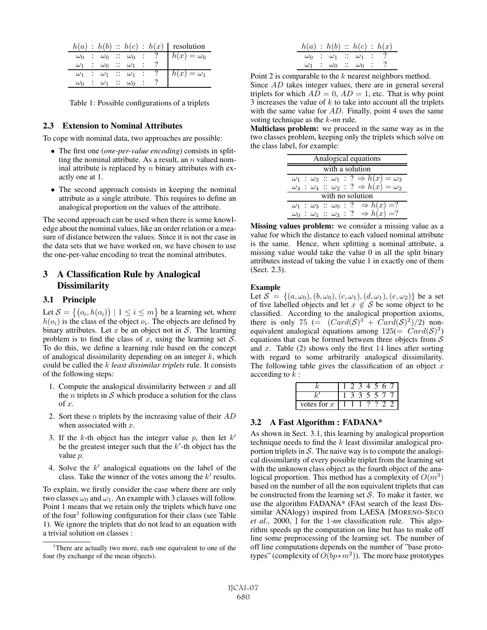|            |                         |                         |  | $h(a) : h(b) :: h(c) : h(x)$ resolution                                                                                                                    |
|------------|-------------------------|-------------------------|--|------------------------------------------------------------------------------------------------------------------------------------------------------------|
|            |                         |                         |  | $\begin{array}{c cccccc}\n\omega_0 & : & \omega_0 & : & \omega_0 & : & ? \\ \omega_1 & : & \omega_0 & : & \omega_1 & : & ?\n\end{array}$ $h(x) = \omega_0$ |
|            |                         |                         |  |                                                                                                                                                            |
|            |                         |                         |  | $\omega_1$ : $\omega_1$ : $\omega_1$ : ? $h(x) = \omega_1$                                                                                                 |
| $\omega_0$ | $\therefore$ $\omega_1$ | $\therefore \omega_0$ : |  |                                                                                                                                                            |

Table 1: Possible configurations of a triplets

#### 2.3 Extension to Nominal Attributes

To cope with nominal data, two approaches are possible:

- The first one (*one-per-value encoding*) consists in splitting the nominal attribute. As a result, an  $n$  valued nominal attribute is replaced by  $n$  binary attributes with exactly one at 1.
- The second approach consists in keeping the nominal attribute as a single attribute. This requires to define an analogical proportion on the values of the attribute.

The second approach can be used when there is some knowledge about the nominal values, like an order relation or a measure of distance between the values. Since it is not the case in the data sets that we have worked on, we have chosen to use the one-per-value encoding to treat the nominal attributes.

# 3 A Classification Rule by Analogical **Dissimilarity**

#### 3.1 Principle

Let  $S = \{(o_i, h(o_i)) \mid 1 \leq i \leq m\}$  be a learning set, where  $h(o_i)$  is the class of the object  $o_i$ . The objects are defined by binary attributes. Let  $x$  be an object not in  $S$ . The learning problem is to find the class of x, using the learning set  $S$ . To do this, we define a learning rule based on the concept of analogical dissimilarity depending on an integer  $k$ , which could be called the k *least dissimilar triplets* rule. It consists of the following steps:

- 1. Compute the analogical dissimilarity between  $x$  and all the *n* triplets in  $S$  which produce a solution for the class of x.
- 2. Sort these *n* triplets by the increasing value of their  $AD$ when associated with  $x$ .
- 3. If the  $k$ -th object has the integer value p, then let  $k'$ be the greatest integer such that the  $k'$ -th object has the value p.
- 4. Solve the  $k'$  analogical equations on the label of the class. Take the winner of the votes among the  $k'$  results.

To explain, we firstly consider the case where there are only two classes  $\omega_0$  and  $\omega_1$ . An example with 3 classes will follow. Point 1 means that we retain only the triplets which have one of the four<sup>1</sup> following configuration for their class (see Table 1). We ignore the triplets that do not lead to an equation with a trivial solution on classes :

|                                          |  | h(a) : h(b) :: h(c) : h(x)               |  |
|------------------------------------------|--|------------------------------------------|--|
| $\omega_0$ : $\omega_1$ : $\omega_1$ : ? |  |                                          |  |
|                                          |  | $\omega_1$ : $\omega_0$ : $\omega_0$ : ? |  |

Point 2 is comparable to the k nearest neighbors method. Since AD takes integer values, there are in general several triplets for which  $AD = 0$ ,  $AD = 1$ , etc. That is why point 3 increases the value of  $k$  to take into account all the triplets with the same value for  $AD$ . Finally, point 4 uses the same voting technique as the k*-nn* rule.

Multiclass problem: we proceed in the same way as in the two classes problem, keeping only the triplets which solve on the class label, for example:

| Analogical equations |  |  |  |  |  |                                                                           |  |
|----------------------|--|--|--|--|--|---------------------------------------------------------------------------|--|
| with a solution      |  |  |  |  |  |                                                                           |  |
|                      |  |  |  |  |  | $\omega_1$ : $\omega_3$ :: $\omega_1$ : ? $\Rightarrow$ $h(x) = \omega_3$ |  |
|                      |  |  |  |  |  | $\omega_4$ : $\omega_4$ : $\omega_2$ : ? $\Rightarrow$ $h(x) = \omega_2$  |  |
|                      |  |  |  |  |  | with no solution                                                          |  |
|                      |  |  |  |  |  | $\omega_1$ : $\omega_3$ : $\omega_0$ : ? $\Rightarrow h(x) = ?$           |  |
|                      |  |  |  |  |  | $\omega_0$ : $\omega_1$ : $\omega_3$ : ? $\Rightarrow h(x) = ?$           |  |

Missing values problem: we consider a missing value as a value for which the distance to each valued nominal attribute is the same. Hence, when splitting a nominal attribute, a missing value would take the value 0 in all the split binary attributes instead of taking the value 1 in exactly one of them (Sect. 2.3).

#### Example

Let  $S = \{(a, \omega_0), (b, \omega_0), (c, \omega_1), (d, \omega_1), (e, \omega_2)\}\)$  be a set of five labelled objects and let  $x \notin S$  be some object to be classified. According to the analogical proportion axioms, there is only 75 (=  $(Card(S)^3 + Card(S)^2)/2$ ) nonequivalent analogical equations among  $125(= Card(S)^3)$ equations that can be formed between three objects from  $S$ and x. Table  $(2)$  shows only the first 14 lines after sorting with regard to some arbitrarily analogical dissimilarity. The following table gives the classification of an object  $x$ according to  $k$  :

|               |  |  | n |  |
|---------------|--|--|---|--|
|               |  |  |   |  |
| votes for $x$ |  |  |   |  |

#### 3.2 A Fast Algorithm : FADANA\*

As shown in Sect. 3.1, this learning by analogical proportion technique needs to find the  $k$  least dissimilar analogical proportion triplets in  $S$ . The naive way is to compute the analogical dissimilarity of every possible triplet from the learning set with the unknown class object as the fourth object of the analogical proportion. This method has a complexity of  $O(m^3)$ based on the number of all the non equivalent triplets that can be constructed from the learning set  $S$ . To make it faster, we use the algorithm FADANA\* (FAst search of the least Dissimilar ANAlogy) inspired from LAESA [MORENO-SECO *et al.*, 2000, ] for the 1*-nn* classification rule. This algorithm speeds up the computation on line but has to make off line some preprocessing of the learning set. The number of off line computations depends on the number of "base prototypes" (complexity of  $O(bp*m^2)$ ). The more base prototypes

<sup>&</sup>lt;sup>1</sup>There are actually two more, each one equivalent to one of the four (by exchange of the mean objects).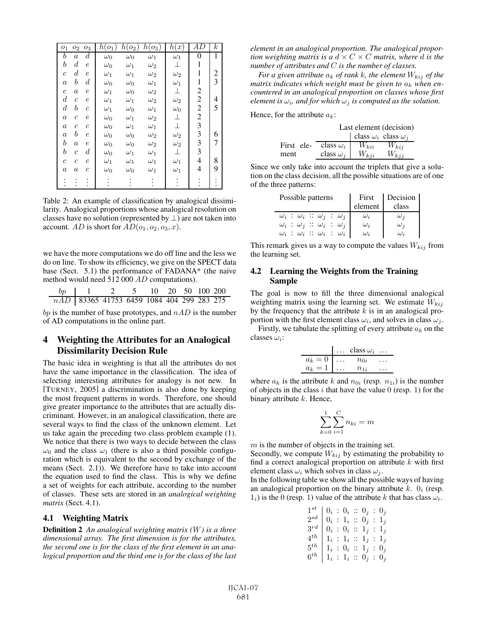| ${\cal O}_1$          | ${\cal O}_{2}$        | ${\mathcal O} _3$     | $h(o_1$    | $h(o_2)$   | $h(o_3)$   | h(x)       | AD             | $\boldsymbol{k}$ |
|-----------------------|-----------------------|-----------------------|------------|------------|------------|------------|----------------|------------------|
| b                     | $\overline{a}$        | $\scriptstyle d$      | $\omega_0$ | $\omega_0$ | $\omega_1$ | $\omega_1$ | 0              | 1                |
| $\boldsymbol{b}$      | $\scriptstyle d$      | $\epsilon$            | $\omega_0$ | $\omega_1$ | $\omega_2$ | 丄          | 1              |                  |
| $\mathcal{C}_{0}^{2}$ | $\scriptstyle d$      | $\,e\,$               | $\omega_1$ | $\omega_1$ | $\omega_2$ | $\omega_2$ | 1              | 2                |
| $\boldsymbol{a}$      | b                     | $_{d}$                | $\omega_0$ | $\omega_0$ | $\omega_1$ | $\omega_1$ | 1              | 3                |
| $\mathcal{C}_{0}^{2}$ | $\overline{a}$        | е                     | $\omega_1$ | $\omega_0$ | $\omega_2$ | 丄          | $\overline{c}$ |                  |
| $\boldsymbol{d}$      | $\mathcal{C}_{0}^{2}$ | $\,e\,$               | $\omega_1$ | $\omega_1$ | $\omega_2$ | $\omega_2$ | $\overline{c}$ | 4                |
| $\boldsymbol{d}$      | b                     | $\mathcal{C}_{0}^{2}$ | $\omega_1$ | $\omega_0$ | $\omega_1$ | $\omega_0$ | $\overline{c}$ | 5                |
| $\boldsymbol{a}$      | $\overline{c}$        | $\epsilon$            | $\omega_0$ | $\omega_1$ | $\omega_2$ | ⊥          | $\overline{c}$ |                  |
| $\boldsymbol{a}$      | $\mathcal{C}_{0}^{2}$ | $\mathcal C$          | $\omega_0$ | $\omega_1$ | $\omega_1$ | $\perp$    | 3              |                  |
| $\boldsymbol{a}$      | b                     | $\epsilon$            | $\omega_0$ | $\omega_0$ | $\omega_2$ | $\omega_2$ | 3              | 6                |
| $\boldsymbol{b}$      | $\boldsymbol{a}$      | $\boldsymbol{e}$      | $\omega_0$ | $\omega_0$ | $\omega_2$ | $\omega_2$ | 3              | 7                |
| b                     | $\overline{c}$        | $\scriptstyle d$      | $\omega_0$ | $\omega_1$ | $\omega_1$ | 丄          | 3              |                  |
| $\mathcal C$          | $\mathcal C$          | $\overline{c}$        | $\omega_1$ | $\omega_1$ | $\omega_1$ | $\omega_1$ | 4              | 8                |
| $\boldsymbol{a}$      | $\it a$               | $\overline{c}$        | $\omega_0$ | $\omega_0$ | $\omega_1$ | $\omega_1$ | 4              | 9                |
|                       |                       |                       |            |            |            |            |                |                  |

Table 2: An example of classification by analogical dissimilarity. Analogical proportions whose analogical resolution on classes have no solution (represented by  $\perp$ ) are not taken into account. AD is short for  $AD(o_1, o_2, o_3, x)$ .

we have the more computations we do off line and the less we do on line. To show its efficiency, we give on the SPECT data base (Sect. 5.1) the performance of FADANA\* (the naive method would need 512 000 AD computations).

| $bp \quad 1$                                | 2 5 10 20 50 100 200 |  |  |  |  |
|---------------------------------------------|----------------------|--|--|--|--|
| nAD   83365 41753 6459 1084 404 299 283 275 |                      |  |  |  |  |

bp is the number of base prototypes, and  $nAD$  is the number of AD computations in the online part.

## 4 Weighting the Attributes for an Analogical Dissimilarity Decision Rule

The basic idea in weighting is that all the attributes do not have the same importance in the classification. The idea of selecting interesting attributes for analogy is not new. In [TURNEY, 2005] a discrimination is also done by keeping the most frequent patterns in words. Therefore, one should give greater importance to the attributes that are actually discriminant. However, in an analogical classification, there are several ways to find the class of the unknown element. Let us take again the preceding two class problem example (1). We notice that there is two ways to decide between the class  $\omega_0$  and the class  $\omega_1$  (there is also a third possible configuration which is equivalent to the second by exchange of the means (Sect. 2.1)). We therefore have to take into account the equation used to find the class. This is why we define a set of weights for each attribute, according to the number of classes. These sets are stored in an *analogical weighting matrix* (Sect. 4.1).

#### 4.1 Weighting Matrix

Definition 2 *An analogical weighting matrix (*W*) is a three dimensional array. The first dimension is for the attributes, the second one is for the class of the first element in an analogical proportion and the third one is for the class of the last* *element in an analogical proportion. The analogical proportion weighting matrix is a*  $d \times C \times C$  *matrix, where d is the number of attributes and* C *is the number of classes.*

*For a given attribute*  $a_k$  *of rank k, the element*  $W_{kij}$  *of the matrix indicates which weight must be given to*  $a_k$  *when encountered in an analogical proportion on classes whose first element is*  $\omega_i$ *, and for which*  $\omega_j$  *is computed as the solution.* 

Hence, for the attribute  $a_k$ :

|            |                  |                                   | Last element (decision) |
|------------|------------------|-----------------------------------|-------------------------|
|            |                  | class $\omega_i$ class $\omega_i$ |                         |
| First ele- | class $\omega_i$ | $W_{kii}$                         | $W_{kij}$               |
| ment       | class $\omega_i$ | $W_{kji}$                         | $W_{kij}$               |

Since we only take into account the triplets that give a solution on the class decision, all the possible situations are of one of the three patterns:

| Possible patterns                                  | First<br>element | Decision<br>class |
|----------------------------------------------------|------------------|-------------------|
| $\omega_i$ : $\omega_i$ : $\omega_j$ : $\omega_j$  | $\omega_i$       | $\omega_i$        |
| $\omega_i$ : $\omega_j$ : $\omega_i$ : $\omega_j$  | $\omega_i$       | $\omega_i$        |
| $\omega_i\;:\;\omega_i\;::\;\omega_i\;:\;\omega_i$ | $\omega_i$       | $\omega_i$        |

This remark gives us a way to compute the values  $W_{kij}$  from the learning set.

#### 4.2 Learning the Weights from the Training Sample

The goal is now to fill the three dimensional analogical weighting matrix using the learning set. We estimate  $W_{kij}$ by the frequency that the attribute  $k$  is in an analogical proportion with the first element class  $\omega_i$ , and solves in class  $\omega_i$ .

Firstly, we tabulate the splitting of every attribute  $a_k$  on the classes  $\omega_i$ :

|                    | $\vert \ldots \vert$ class $\omega_i \ldots$ |  |
|--------------------|----------------------------------------------|--|
| $a_k = 0$ $n_{0i}$ |                                              |  |
| $a_k = 1 \dots$    | $n_{1i}$                                     |  |

where  $a_k$  is the attribute k and  $n_{0i}$  (resp.  $n_{1i}$ ) is the number of objects in the class i that have the value  $0$  (resp. 1) for the binary attribute  $k$ . Hence,

$$
\sum_{k=0}^{1} \sum_{i=1}^{C} n_{ki} = m
$$

 $m$  is the number of objects in the training set.

Secondly, we compute  $W_{kij}$  by estimating the probability to find a correct analogical proportion on attribute  $k$  with first element class  $\omega_i$  which solves in class  $\omega_i$ .

In the following table we show all the possible ways of having an analogical proportion on the binary attribute k.  $\theta_i$  (resp.  $1_i$ ) is the 0 (resp. 1) value of the attribute k that has class  $\omega_i$ .

| $1^{st}$   $0_i$ : $0_i$ : $0_j$ : $0_j$                                     |  |  |  |  |
|------------------------------------------------------------------------------|--|--|--|--|
| $2^{sd}$   $0_i$ : $1_i$ : $0_j$ : $1_j$                                     |  |  |  |  |
| $3^{rd} \big ~0_i~:~0_i~::~1_j~:~1_j$                                        |  |  |  |  |
| $4^{th}$   1 <sub>i</sub> : 1 <sub>i</sub> : 1 <sub>j</sub> : 1 <sub>j</sub> |  |  |  |  |
| $5^{th} \ \big  \ 1_i \ :\ 0_i \ :: \ 1_j \ :\ 0_j$                          |  |  |  |  |
| $6^{th}$   1 <sub>i</sub> : 1 <sub>i</sub> : 0 <sub>j</sub> : 0 <sub>j</sub> |  |  |  |  |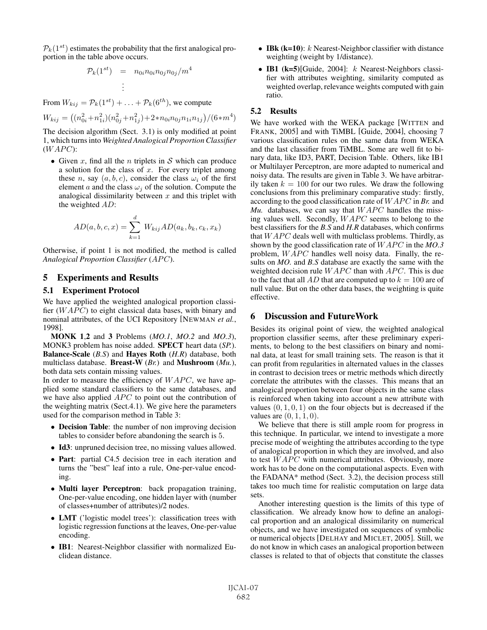$P_k(1^{st})$  estimates the probability that the first analogical proportion in the table above occurs.

$$
\mathcal{P}_k(1^{st}) = n_{0i} n_{0i} n_{0j} n_{0j}/m^4
$$

$$
\vdots
$$

From  $W_{kij} = \mathcal{P}_k(1^{st}) + \ldots + \mathcal{P}_k(6^{th})$ , we compute

$$
W_{kij} = \left( (n_{0i}^2 + n_{1i}^2)(n_{0j}^2 + n_{1j}^2) + 2 \cdot n_{0i} n_{0j} n_{1i} n_{1j} \right) / (6 \cdot m^4)
$$

The decision algorithm (Sect. 3.1) is only modified at point 1, which turns into *Weighted Analogical Proportion Classifier*  $(WAPC)$ :

• Given x, find all the n triplets in  $S$  which can produce a solution for the class of  $x$ . For every triplet among these n, say  $(a, b, c)$ , consider the class  $\omega_i$  of the first element a and the class  $\omega_i$  of the solution. Compute the analogical dissimilarity between  $x$  and this triplet with the weighted AD:

$$
AD(a, b, c, x) = \sum_{k=1}^{d} W_{kij} AD(a_k, b_k, c_k, x_k)
$$

Otherwise, if point 1 is not modified, the method is called *Analogical Proportion Classifier (APC).* 

### 5 Experiments and Results

#### 5.1 Experiment Protocol

We have applied the weighted analogical proportion classifier  $(WAPC)$  to eight classical data bases, with binary and nominal attributes, of the UCI Repository [NEWMAN *et al.*, 1998].

MONK 1,2 and 3 Problems (*MO.1*, *MO.2* and *MO.3*), MONK3 problem has noise added. SPECT heart data (*SP.*). Balance-Scale (*B.S*) and Hayes Roth (*H.R*) database, both multiclass database. Breast-W (*Br.*) and Mushroom (*Mu.*), both data sets contain missing values.

In order to measure the efficiency of  $WAPC$ , we have applied some standard classifiers to the same databases, and we have also applied  $APC$  to point out the contribution of the weighting matrix (Sect.4.1). We give here the parameters used for the comparison method in Table 3:

- Decision Table: the number of non improving decision tables to consider before abandoning the search is 5.
- Id3: unpruned decision tree, no missing values allowed.
- Part: partial C4.5 decision tree in each iteration and turns the "best" leaf into a rule, One-per-value encoding.
- Multi layer Perceptron: back propagation training, One-per-value encoding, one hidden layer with (number of classes+number of attributes)/2 nodes.
- LMT ('logistic model trees'): classification trees with logistic regression functions at the leaves, One-per-value encoding.
- IB1: Nearest-Neighbor classifier with normalized Euclidean distance.
- IBk ( $k=10$ ):  $k$  Nearest-Neighbor classifier with distance weighting (weight by 1/distance).
- IB1 (k=5)[Guide, 2004]:  $k$  Nearest-Neighbors classifier with attributes weighting, similarity computed as weighted overlap, relevance weights computed with gain ratio.

#### 5.2 Results

We have worked with the WEKA package [WITTEN and FRANK, 2005] and with TiMBL [Guide, 2004], choosing 7 various classification rules on the same data from WEKA and the last classifier from TiMBL. Some are well fit to binary data, like ID3, PART, Decision Table. Others, like IB1 or Multilayer Perceptron, are more adapted to numerical and noisy data. The results are given in Table 3. We have arbitrarily taken  $k = 100$  for our two rules. We draw the following conclusions from this preliminary comparative study: firstly, according to the good classification rate of  $WAPC$  in *Br.* and  $Mu$ . databases, we can say that  $WAPC$  handles the missing values well. Secondly,  $WAPC$  seems to belong to the best classifiers for the *B.S* and *H.R* databases, which confirms that  $WAPC$  deals well with multiclass problems. Thirdly, as shown by the good classification rate of  $WAPC$  in the *MO.3* problem,  $WAPC$  handles well noisy data. Finally, the results on *MO.* and *B.S* database are exactly the same with the weighted decision rule  $WAPC$  than with  $APC$ . This is due to the fact that all AD that are computed up to  $k = 100$  are of null value. But on the other data bases, the weighting is quite effective.

## 6 Discussion and FutureWork

Besides its original point of view, the weighted analogical proportion classifier seems, after these preliminary experiments, to belong to the best classifiers on binary and nominal data, at least for small training sets. The reason is that it can profit from regularities in alternated values in the classes in contrast to decision trees or metric methods which directly correlate the attributes with the classes. This means that an analogical proportion between four objects in the same class is reinforced when taking into account a new attribute with values  $(0, 1, 0, 1)$  on the four objects but is decreased if the values are  $(0, 1, 1, 0)$ .

We believe that there is still ample room for progress in this technique. In particular, we intend to investigate a more precise mode of weighting the attributes according to the type of analogical proportion in which they are involved, and also to test  $WAPC$  with numerical attributes. Obviously, more work has to be done on the computational aspects. Even with the FADANA\* method (Sect. 3.2), the decision process still takes too much time for realistic computation on large data sets.

Another interesting question is the limits of this type of classification. We already know how to define an analogical proportion and an analogical dissimilarity on numerical objects, and we have investigated on sequences of symbolic or numerical objects [DELHAY and MICLET, 2005]. Still, we do not know in which cases an analogical proportion between classes is related to that of objects that constitute the classes